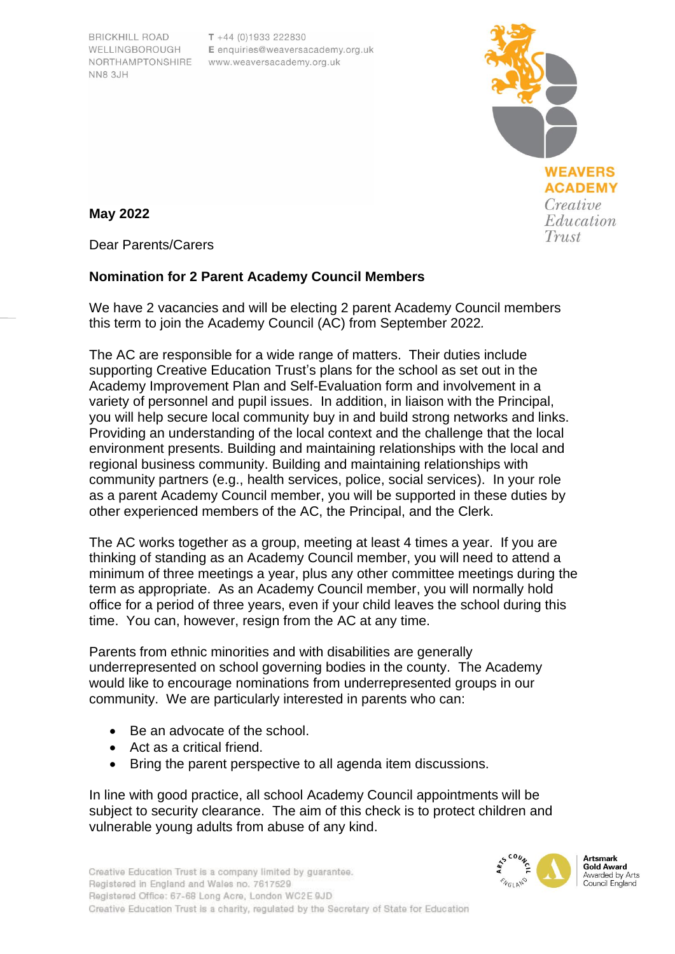**BRICKHILL ROAD** WELLINGBOROUGH NN8 3.IH

 $T + 44(0)1933222830$ E enquiries@weaversacademy.org.uk NORTHAMPTONSHIRE www.weaversacademy.org.uk



**May 2022**

Dear Parents/Carers

# **Nomination for 2 Parent Academy Council Members**

We have 2 vacancies and will be electing 2 parent Academy Council members this term to join the Academy Council (AC) from September 2022*.*

The AC are responsible for a wide range of matters. Their duties include supporting Creative Education Trust's plans for the school as set out in the Academy Improvement Plan and Self-Evaluation form and involvement in a variety of personnel and pupil issues. In addition, in liaison with the Principal, you will help secure local community buy in and build strong networks and links. Providing an understanding of the local context and the challenge that the local environment presents. Building and maintaining relationships with the local and regional business community. Building and maintaining relationships with community partners (e.g., health services, police, social services). In your role as a parent Academy Council member, you will be supported in these duties by other experienced members of the AC, the Principal, and the Clerk.

The AC works together as a group, meeting at least 4 times a year. If you are thinking of standing as an Academy Council member, you will need to attend a minimum of three meetings a year, plus any other committee meetings during the term as appropriate. As an Academy Council member, you will normally hold office for a period of three years, even if your child leaves the school during this time. You can, however, resign from the AC at any time.

Parents from ethnic minorities and with disabilities are generally underrepresented on school governing bodies in the county. The Academy would like to encourage nominations from underrepresented groups in our community. We are particularly interested in parents who can:

- Be an advocate of the school.
- Act as a critical friend.
- Bring the parent perspective to all agenda item discussions.

In line with good practice, all school Academy Council appointments will be subject to security clearance. The aim of this check is to protect children and vulnerable young adults from abuse of any kind.



**Gold Award** Awarded by Arts Council England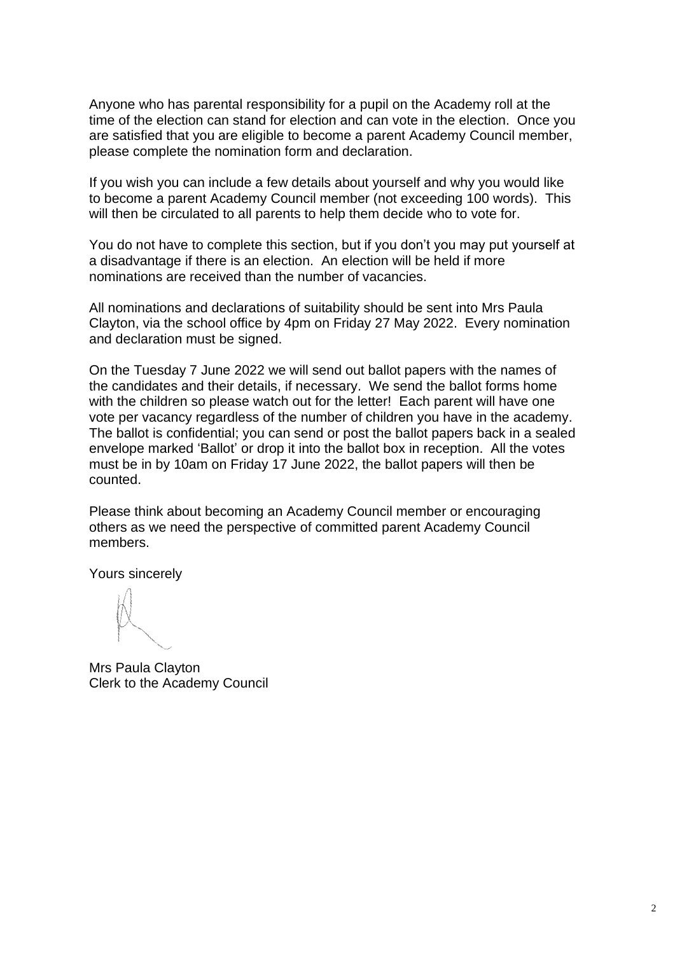Anyone who has parental responsibility for a pupil on the Academy roll at the time of the election can stand for election and can vote in the election. Once you are satisfied that you are eligible to become a parent Academy Council member, please complete the nomination form and declaration.

If you wish you can include a few details about yourself and why you would like to become a parent Academy Council member (not exceeding 100 words). This will then be circulated to all parents to help them decide who to vote for.

You do not have to complete this section, but if you don't you may put yourself at a disadvantage if there is an election. An election will be held if more nominations are received than the number of vacancies.

All nominations and declarations of suitability should be sent into Mrs Paula Clayton, via the school office by 4pm on Friday 27 May 2022. Every nomination and declaration must be signed.

On the Tuesday 7 June 2022 we will send out ballot papers with the names of the candidates and their details, if necessary. We send the ballot forms home with the children so please watch out for the letter! Each parent will have one vote per vacancy regardless of the number of children you have in the academy. The ballot is confidential; you can send or post the ballot papers back in a sealed envelope marked 'Ballot' or drop it into the ballot box in reception. All the votes must be in by 10am on Friday 17 June 2022, the ballot papers will then be counted.

Please think about becoming an Academy Council member or encouraging others as we need the perspective of committed parent Academy Council members.

Yours sincerely

Mrs Paula Clayton Clerk to the Academy Council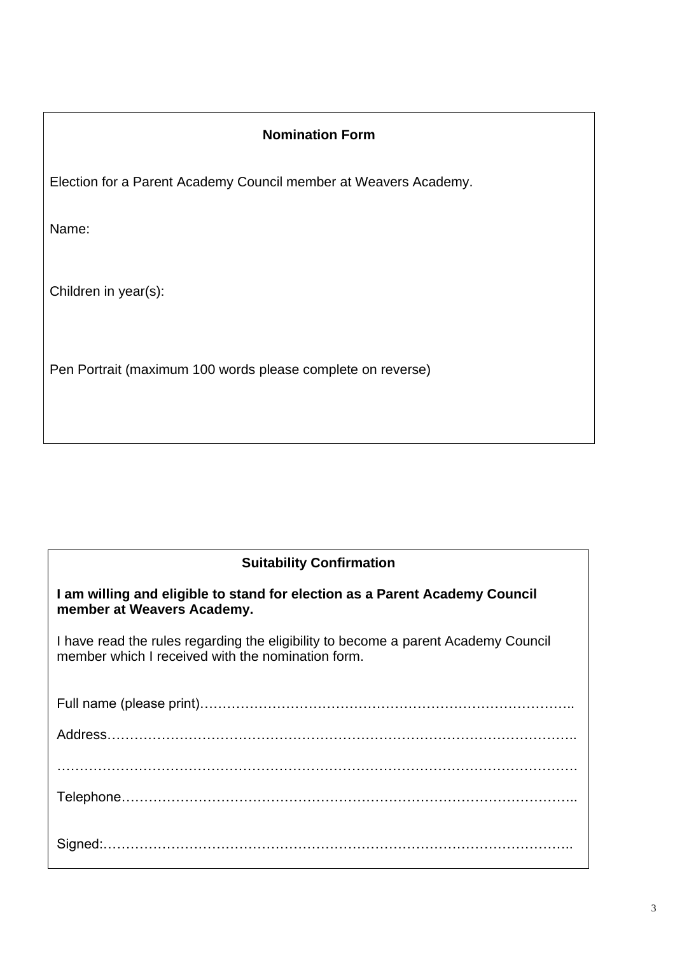# **Nomination Form**

Election for a Parent Academy Council member at Weavers Academy.

Name:

Children in year(s):

Pen Portrait (maximum 100 words please complete on reverse)

### **Suitability Confirmation**

**I am willing and eligible to stand for election as a Parent Academy Council member at Weavers Academy.**

I have read the rules regarding the eligibility to become a parent Academy Council member which I received with the nomination form.

Full name (please print)……………………………………………………………………….. Address………………………………………………………………………………………….. ……………………………………………………………………………………………………. Telephone……………………………………………………………………………………….. Signed:…………………………………………………………………………………………..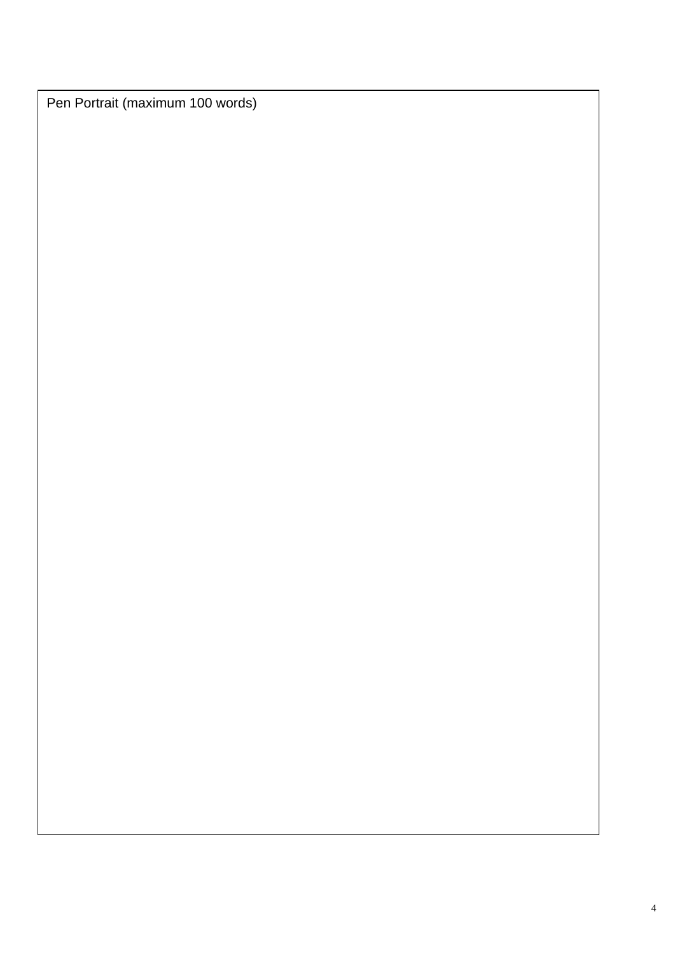Pen Portrait (maximum 100 words)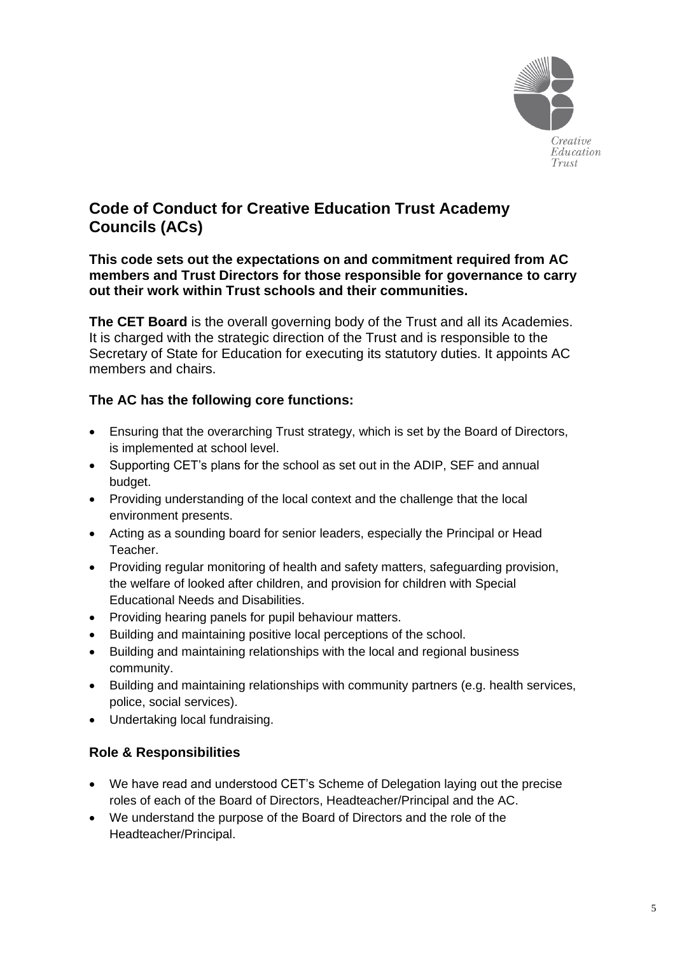

# **Code of Conduct for Creative Education Trust Academy Councils (ACs)**

### **This code sets out the expectations on and commitment required from AC members and Trust Directors for those responsible for governance to carry out their work within Trust schools and their communities.**

**The CET Board** is the overall governing body of the Trust and all its Academies. It is charged with the strategic direction of the Trust and is responsible to the Secretary of State for Education for executing its statutory duties. It appoints AC members and chairs.

### **The AC has the following core functions:**

- Ensuring that the overarching Trust strategy, which is set by the Board of Directors, is implemented at school level.
- Supporting CET's plans for the school as set out in the ADIP, SEF and annual budget.
- Providing understanding of the local context and the challenge that the local environment presents.
- Acting as a sounding board for senior leaders, especially the Principal or Head Teacher.
- Providing regular monitoring of health and safety matters, safeguarding provision, the welfare of looked after children, and provision for children with Special Educational Needs and Disabilities.
- Providing hearing panels for pupil behaviour matters.
- Building and maintaining positive local perceptions of the school.
- Building and maintaining relationships with the local and regional business community.
- Building and maintaining relationships with community partners (e.g. health services, police, social services).
- Undertaking local fundraising.

### **Role & Responsibilities**

- We have read and understood CET's Scheme of Delegation laying out the precise roles of each of the Board of Directors, Headteacher/Principal and the AC.
- We understand the purpose of the Board of Directors and the role of the Headteacher/Principal.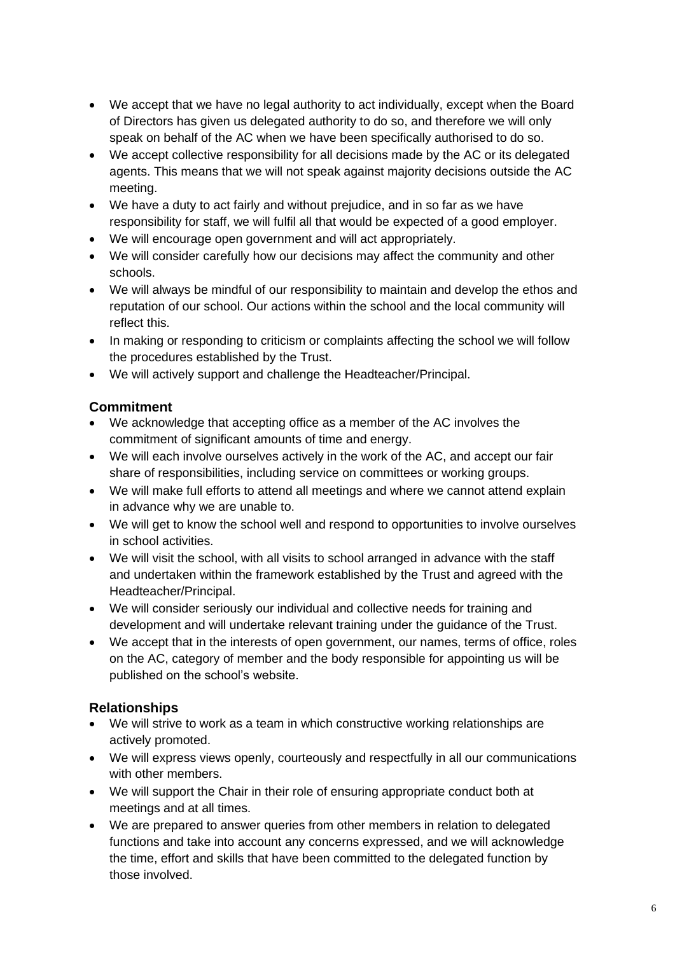- We accept that we have no legal authority to act individually, except when the Board of Directors has given us delegated authority to do so, and therefore we will only speak on behalf of the AC when we have been specifically authorised to do so.
- We accept collective responsibility for all decisions made by the AC or its delegated agents. This means that we will not speak against majority decisions outside the AC meeting.
- We have a duty to act fairly and without prejudice, and in so far as we have responsibility for staff, we will fulfil all that would be expected of a good employer.
- We will encourage open government and will act appropriately.
- We will consider carefully how our decisions may affect the community and other schools.
- We will always be mindful of our responsibility to maintain and develop the ethos and reputation of our school. Our actions within the school and the local community will reflect this.
- In making or responding to criticism or complaints affecting the school we will follow the procedures established by the Trust.
- We will actively support and challenge the Headteacher/Principal.

# **Commitment**

- We acknowledge that accepting office as a member of the AC involves the commitment of significant amounts of time and energy.
- We will each involve ourselves actively in the work of the AC, and accept our fair share of responsibilities, including service on committees or working groups.
- We will make full efforts to attend all meetings and where we cannot attend explain in advance why we are unable to.
- We will get to know the school well and respond to opportunities to involve ourselves in school activities.
- We will visit the school, with all visits to school arranged in advance with the staff and undertaken within the framework established by the Trust and agreed with the Headteacher/Principal.
- We will consider seriously our individual and collective needs for training and development and will undertake relevant training under the guidance of the Trust.
- We accept that in the interests of open government, our names, terms of office, roles on the AC, category of member and the body responsible for appointing us will be published on the school's website.

# **Relationships**

- We will strive to work as a team in which constructive working relationships are actively promoted.
- We will express views openly, courteously and respectfully in all our communications with other members.
- We will support the Chair in their role of ensuring appropriate conduct both at meetings and at all times.
- We are prepared to answer queries from other members in relation to delegated functions and take into account any concerns expressed, and we will acknowledge the time, effort and skills that have been committed to the delegated function by those involved.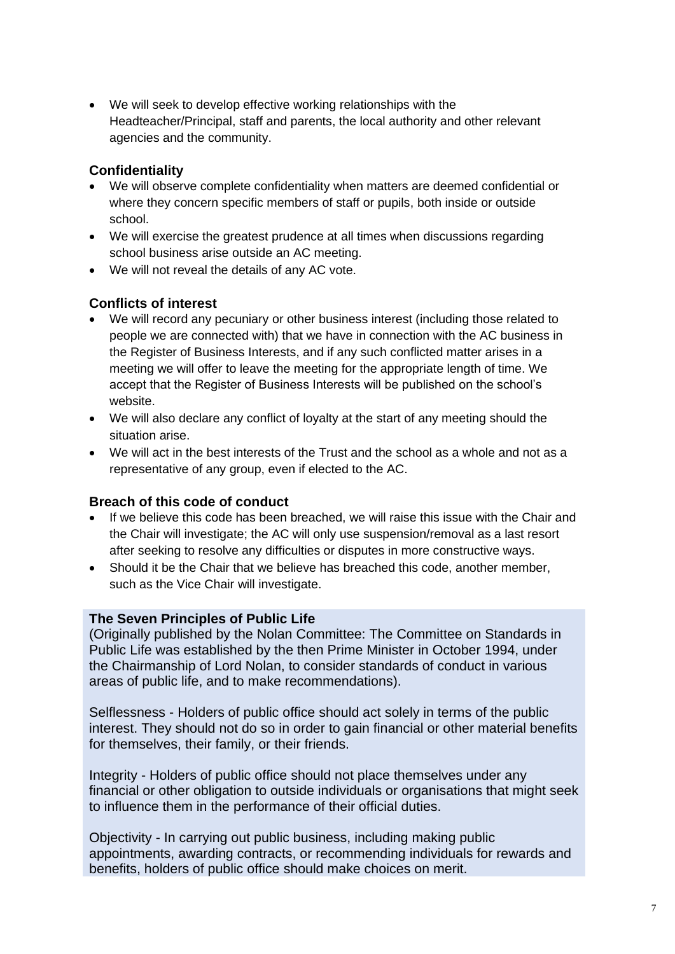• We will seek to develop effective working relationships with the Headteacher/Principal, staff and parents, the local authority and other relevant agencies and the community.

### **Confidentiality**

- We will observe complete confidentiality when matters are deemed confidential or where they concern specific members of staff or pupils, both inside or outside school.
- We will exercise the greatest prudence at all times when discussions regarding school business arise outside an AC meeting.
- We will not reveal the details of any AC vote.

### **Conflicts of interest**

- We will record any pecuniary or other business interest (including those related to people we are connected with) that we have in connection with the AC business in the Register of Business Interests, and if any such conflicted matter arises in a meeting we will offer to leave the meeting for the appropriate length of time. We accept that the Register of Business Interests will be published on the school's website.
- We will also declare any conflict of loyalty at the start of any meeting should the situation arise.
- We will act in the best interests of the Trust and the school as a whole and not as a representative of any group, even if elected to the AC.

### **Breach of this code of conduct**

- If we believe this code has been breached, we will raise this issue with the Chair and the Chair will investigate; the AC will only use suspension/removal as a last resort after seeking to resolve any difficulties or disputes in more constructive ways.
- Should it be the Chair that we believe has breached this code, another member, such as the Vice Chair will investigate.

#### **The Seven Principles of Public Life**

(Originally published by the Nolan Committee: The Committee on Standards in Public Life was established by the then Prime Minister in October 1994, under the Chairmanship of Lord Nolan, to consider standards of conduct in various areas of public life, and to make recommendations).

Selflessness - Holders of public office should act solely in terms of the public interest. They should not do so in order to gain financial or other material benefits for themselves, their family, or their friends.

Integrity - Holders of public office should not place themselves under any financial or other obligation to outside individuals or organisations that might seek to influence them in the performance of their official duties.

Objectivity - In carrying out public business, including making public appointments, awarding contracts, or recommending individuals for rewards and benefits, holders of public office should make choices on merit.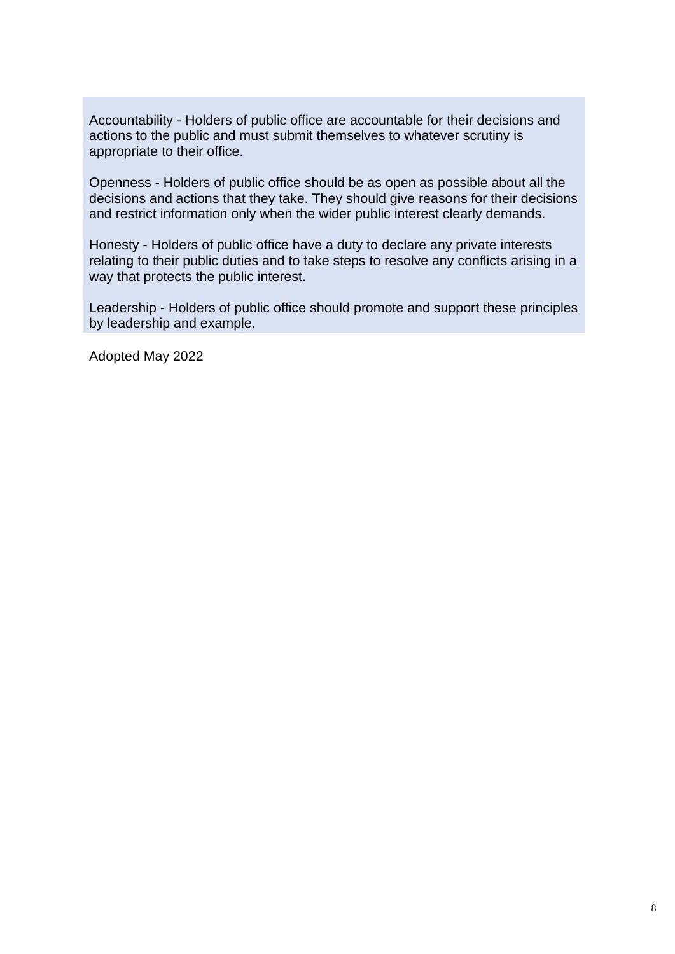Accountability - Holders of public office are accountable for their decisions and actions to the public and must submit themselves to whatever scrutiny is appropriate to their office.

Openness - Holders of public office should be as open as possible about all the decisions and actions that they take. They should give reasons for their decisions and restrict information only when the wider public interest clearly demands.

Honesty - Holders of public office have a duty to declare any private interests relating to their public duties and to take steps to resolve any conflicts arising in a way that protects the public interest.

Leadership - Holders of public office should promote and support these principles by leadership and example.

Adopted May 2022